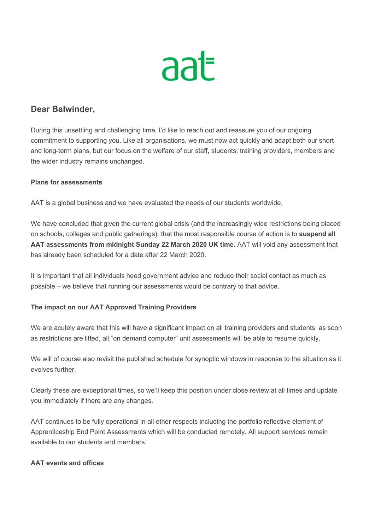

# **Dear Balwinder,**

During this unsettling and challenging time, I'd like to reach out and reassure you of our ongoing commitment to supporting you. Like all organisations, we must now act quickly and adapt both our short and long-term plans, but our focus on the welfare of our staff, students, training providers, members and the wider industry remains unchanged.

#### **Plans for assessments**

AAT is a global business and we have evaluated the needs of our students worldwide.

We have concluded that given the current global crisis (and the increasingly wide restrictions being placed on schools, colleges and public gatherings), that the most responsible course of action is to **suspend all AAT assessments from midnight Sunday 22 March 2020 UK time**. AAT will void any assessment that has already been scheduled for a date after 22 March 2020.

It is important that all individuals heed government advice and reduce their social contact as much as possible – we believe that running our assessments would be contrary to that advice.

## **The impact on our AAT Approved Training Providers**

We are acutely aware that this will have a significant impact on all training providers and students; as soon as restrictions are lifted, all "on demand computer" unit assessments will be able to resume quickly.

We will of course also revisit the published schedule for synoptic windows in response to the situation as it evolves further.

Clearly these are exceptional times, so we'll keep this position under close review at all times and update you immediately if there are any changes.

AAT continues to be fully operational in all other respects including the portfolio reflective element of Apprenticeship End Point Assessments which will be conducted remotely. All support services remain available to our students and members.

#### **AAT events and offices**